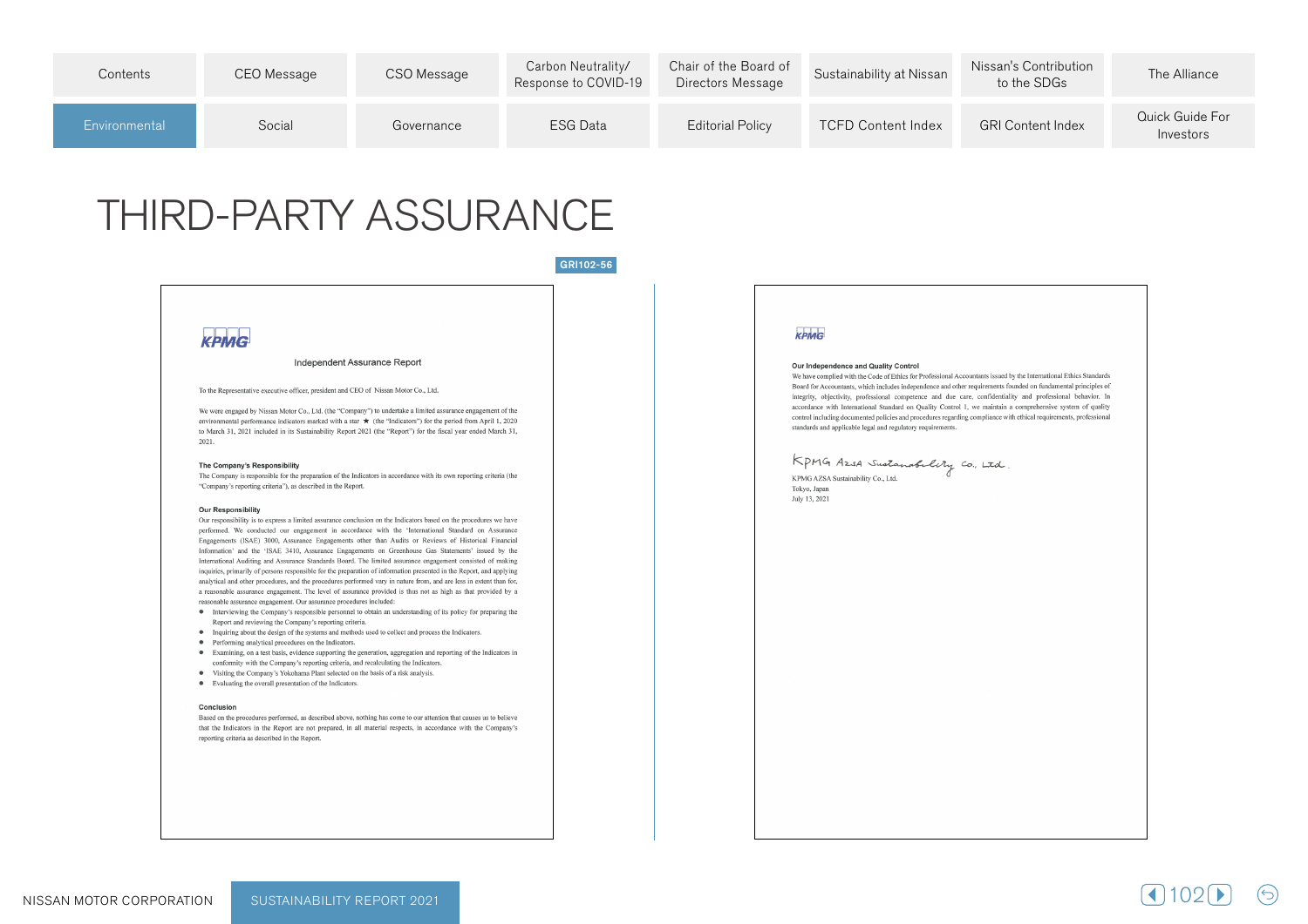| Contents      | CEO Message | CSO Message | Carbon Neutrality/<br>Response to COVID-19 | Chair of the Board of<br>Directors Message | Sustainability at Nissan  | Nissan's Contribution<br>to the SDGs | The Alliance                 |
|---------------|-------------|-------------|--------------------------------------------|--------------------------------------------|---------------------------|--------------------------------------|------------------------------|
| Environmental | Social      | Governance  | <b>ESG Data</b>                            | <b>Editorial Policy</b>                    | <b>TCFD Content Index</b> | <b>GRI Content Index</b>             | Quick Guide For<br>Investors |

# **THIRD-PARTY ASSURANCE**

### GRI102-56

# KPMG

#### Independent Assurance Report

#### To the Representative executive officer, president and CEO of Nissan Motor Co., Ltd.

We were engaged by Nissan Motor Co., Ltd. (the "Company") to undertake a limited assurance engagement of the environmental performance indicators marked with a star  $\star$  (the "Indicators") for the period from April 1, 2020 to March 31, 2021 included in its Sustainability Report 2021 (the "Report") for the fiscal year ended March 31, 2021.

#### The Company's Responsibility

The Company is responsible for the preparation of the Indicators in accordance with its own reporting criteria (the "Company's reporting criteria"), as described in the Report.

#### **Our Responsibility**

Our responsibility is to express a limited assurance conclusion on the Indicators based on the procedures we have performed. We conducted our engagement in accordance with the 'International Standard on Assurance Engagements (ISAE) 3000, Assurance Engagements other than Audits or Reviews of Historical Financial Information' and the 'ISAE 3410, Assurance Engagements on Greenhouse Gas Statements' issued by the International Auditing and Assurance Standards Board. The limited assurance engagement consisted of making inquiries, primarily of persons responsible for the preparation of information presented in the Report, and applying analytical and other procedures, and the procedures performed vary in nature from, and are less in extent than for, a reasonable assurance engagement. The level of assurance provided is thus not as high as that provided by a reasonable assurance engagement. Our assurance procedures included:

- Interviewing the Company's responsible personnel to obtain an understanding of its policy for preparing the Report and reviewing the Company's reporting criteria.
- Inquiring about the design of the systems and methods used to collect and process the Indicators.
- Performing analytical procedures on the Indicators.
- · Examining, on a test basis, evidence supporting the generation, aggregation and reporting of the Indicators in
- conformity with the Company's reporting criteria, and recalculating the Indicators. • Visiting the Company's Yokohama Plant selected on the basis of a risk analysis.
- 
- Evaluating the overall presentation of the Indicators.

#### Conclusion

Based on the procedures performed, as described above, nothing has come to our attention that causes us to believe that the Indicators in the Report are not prepared, in all material respects, in accordance with the Company's reporting criteria as described in the Report.

## KPMG

#### Our Independence and Quality Control

We have complied with the Code of Ethics for Professional Accountants issued by the International Ethics Standards Board for Accountants, which includes independence and other requirements founded on fundamental principles of integrity, objectivity, professional competence and due care, confidentiality and professional behavior. In accordance with International Standard on Quality Control 1, we maintain a comprehensive system of quality control including documented policies and procedures regarding compliance with ethical requirements, professional standards and applicable legal and regulatory requirements.

KPMG Azsa Sustanabelity Co., Ltd KPMG AZSA Sustainability Co., Ltd.

Tokyo, Japan July 13, 2021

1021